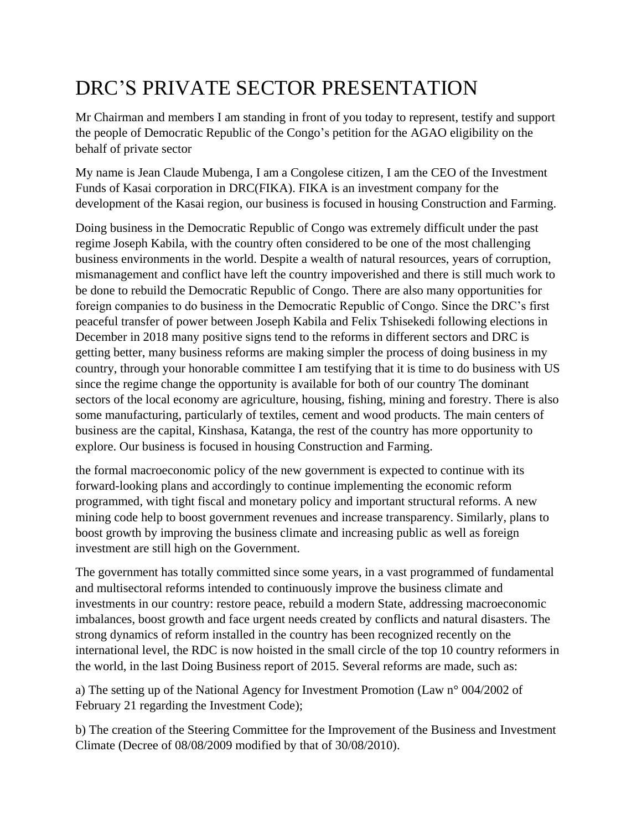## DRC'S PRIVATE SECTOR PRESENTATION

Mr Chairman and members I am standing in front of you today to represent, testify and support the people of Democratic Republic of the Congo's petition for the AGAO eligibility on the behalf of private sector

My name is Jean Claude Mubenga, I am a Congolese citizen, I am the CEO of the Investment Funds of Kasai corporation in DRC(FIKA). FIKA is an investment company for the development of the Kasai region, our business is focused in housing Construction and Farming.

Doing business in the Democratic Republic of Congo was extremely difficult under the past regime Joseph Kabila, with the country often considered to be one of the most challenging business environments in the world. Despite a wealth of natural resources, years of corruption, mismanagement and conflict have left the country impoverished and there is still much work to be done to rebuild the Democratic Republic of Congo. There are also many opportunities for foreign companies to do business in the Democratic Republic of Congo. Since the DRC's first peaceful transfer of power between Joseph Kabila and Felix Tshisekedi following elections in December in 2018 many positive signs tend to the reforms in different sectors and DRC is getting better, many business reforms are making simpler the process of doing business in my country, through your honorable committee I am testifying that it is time to do business with US since the regime change the opportunity is available for both of our country The dominant sectors of the local economy are agriculture, housing, fishing, mining and forestry. There is also some manufacturing, particularly of textiles, cement and wood products. The main centers of business are the capital, Kinshasa, Katanga, the rest of the country has more opportunity to explore. Our business is focused in housing Construction and Farming.

the formal macroeconomic policy of the new government is expected to continue with its forward-looking plans and accordingly to continue implementing the economic reform programmed, with tight fiscal and monetary policy and important structural reforms. A new mining code help to boost government revenues and increase transparency. Similarly, plans to boost growth by improving the business climate and increasing public as well as foreign investment are still high on the Government.

The government has totally committed since some years, in a vast programmed of fundamental and multisectoral reforms intended to continuously improve the business climate and investments in our country: restore peace, rebuild a modern State, addressing macroeconomic imbalances, boost growth and face urgent needs created by conflicts and natural disasters. The strong dynamics of reform installed in the country has been recognized recently on the international level, the RDC is now hoisted in the small circle of the top 10 country reformers in the world, in the last Doing Business report of 2015. Several reforms are made, such as:

a) The setting up of the National Agency for Investment Promotion (Law n° 004/2002 of February 21 regarding the Investment Code);

b) The creation of the Steering Committee for the Improvement of the Business and Investment Climate (Decree of 08/08/2009 modified by that of 30/08/2010).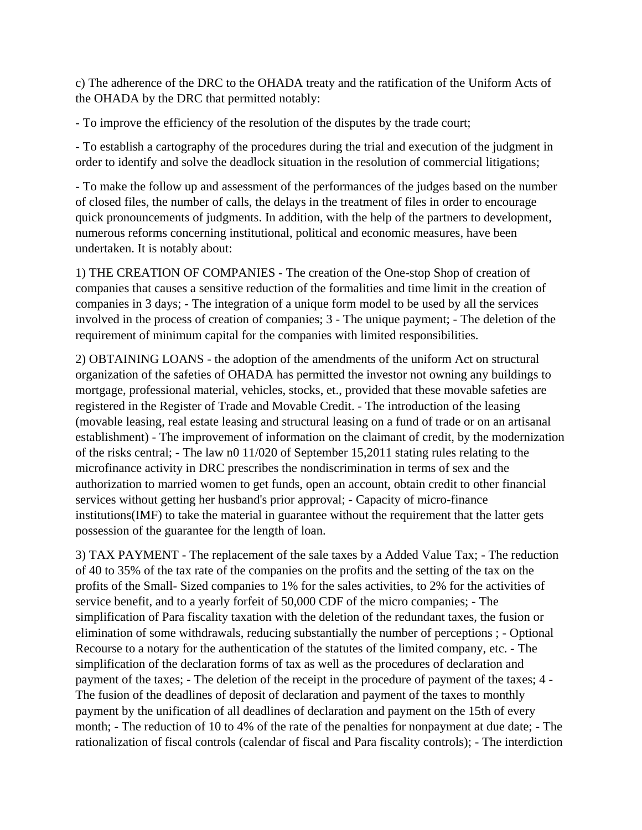c) The adherence of the DRC to the OHADA treaty and the ratification of the Uniform Acts of the OHADA by the DRC that permitted notably:

- To improve the efficiency of the resolution of the disputes by the trade court;

- To establish a cartography of the procedures during the trial and execution of the judgment in order to identify and solve the deadlock situation in the resolution of commercial litigations;

- To make the follow up and assessment of the performances of the judges based on the number of closed files, the number of calls, the delays in the treatment of files in order to encourage quick pronouncements of judgments. In addition, with the help of the partners to development, numerous reforms concerning institutional, political and economic measures, have been undertaken. It is notably about:

1) THE CREATION OF COMPANIES - The creation of the One-stop Shop of creation of companies that causes a sensitive reduction of the formalities and time limit in the creation of companies in 3 days; - The integration of a unique form model to be used by all the services involved in the process of creation of companies; 3 - The unique payment; - The deletion of the requirement of minimum capital for the companies with limited responsibilities.

2) OBTAINING LOANS - the adoption of the amendments of the uniform Act on structural organization of the safeties of OHADA has permitted the investor not owning any buildings to mortgage, professional material, vehicles, stocks, et., provided that these movable safeties are registered in the Register of Trade and Movable Credit. - The introduction of the leasing (movable leasing, real estate leasing and structural leasing on a fund of trade or on an artisanal establishment) - The improvement of information on the claimant of credit, by the modernization of the risks central; - The law n0 11/020 of September 15,2011 stating rules relating to the microfinance activity in DRC prescribes the nondiscrimination in terms of sex and the authorization to married women to get funds, open an account, obtain credit to other financial services without getting her husband's prior approval; - Capacity of micro-finance institutions(IMF) to take the material in guarantee without the requirement that the latter gets possession of the guarantee for the length of loan.

3) TAX PAYMENT - The replacement of the sale taxes by a Added Value Tax; - The reduction of 40 to 35% of the tax rate of the companies on the profits and the setting of the tax on the profits of the Small- Sized companies to 1% for the sales activities, to 2% for the activities of service benefit, and to a yearly forfeit of 50,000 CDF of the micro companies; - The simplification of Para fiscality taxation with the deletion of the redundant taxes, the fusion or elimination of some withdrawals, reducing substantially the number of perceptions ; - Optional Recourse to a notary for the authentication of the statutes of the limited company, etc. - The simplification of the declaration forms of tax as well as the procedures of declaration and payment of the taxes; - The deletion of the receipt in the procedure of payment of the taxes; 4 - The fusion of the deadlines of deposit of declaration and payment of the taxes to monthly payment by the unification of all deadlines of declaration and payment on the 15th of every month; - The reduction of 10 to 4% of the rate of the penalties for nonpayment at due date; - The rationalization of fiscal controls (calendar of fiscal and Para fiscality controls); - The interdiction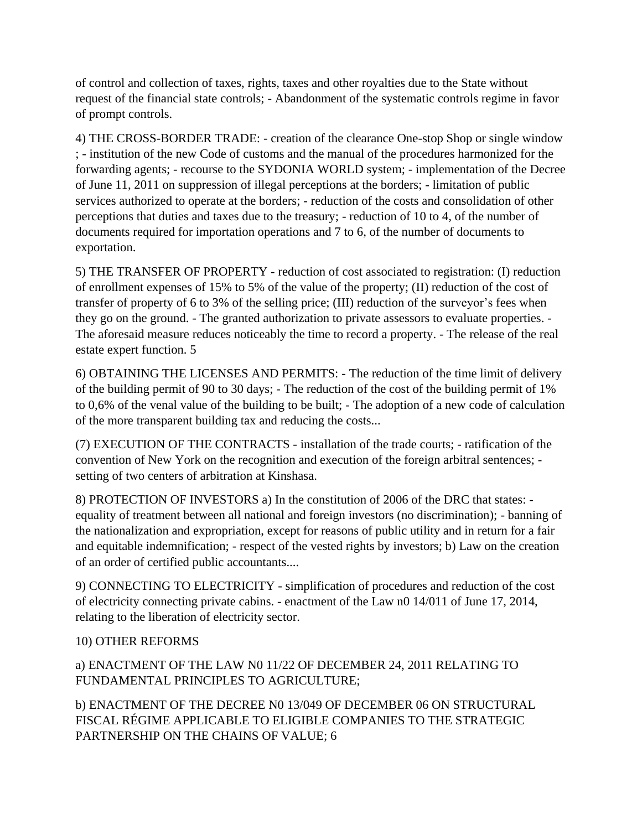of control and collection of taxes, rights, taxes and other royalties due to the State without request of the financial state controls; - Abandonment of the systematic controls regime in favor of prompt controls.

4) THE CROSS-BORDER TRADE: - creation of the clearance One-stop Shop or single window ; - institution of the new Code of customs and the manual of the procedures harmonized for the forwarding agents; - recourse to the SYDONIA WORLD system; - implementation of the Decree of June 11, 2011 on suppression of illegal perceptions at the borders; - limitation of public services authorized to operate at the borders; - reduction of the costs and consolidation of other perceptions that duties and taxes due to the treasury; - reduction of 10 to 4, of the number of documents required for importation operations and 7 to 6, of the number of documents to exportation.

5) THE TRANSFER OF PROPERTY - reduction of cost associated to registration: (I) reduction of enrollment expenses of 15% to 5% of the value of the property; (II) reduction of the cost of transfer of property of 6 to 3% of the selling price; (III) reduction of the surveyor's fees when they go on the ground. - The granted authorization to private assessors to evaluate properties. - The aforesaid measure reduces noticeably the time to record a property. - The release of the real estate expert function. 5

6) OBTAINING THE LICENSES AND PERMITS: - The reduction of the time limit of delivery of the building permit of 90 to 30 days; - The reduction of the cost of the building permit of 1% to 0,6% of the venal value of the building to be built; - The adoption of a new code of calculation of the more transparent building tax and reducing the costs...

(7) EXECUTION OF THE CONTRACTS - installation of the trade courts; - ratification of the convention of New York on the recognition and execution of the foreign arbitral sentences; setting of two centers of arbitration at Kinshasa.

8) PROTECTION OF INVESTORS a) In the constitution of 2006 of the DRC that states: equality of treatment between all national and foreign investors (no discrimination); - banning of the nationalization and expropriation, except for reasons of public utility and in return for a fair and equitable indemnification; - respect of the vested rights by investors; b) Law on the creation of an order of certified public accountants....

9) CONNECTING TO ELECTRICITY - simplification of procedures and reduction of the cost of electricity connecting private cabins. - enactment of the Law n0 14/011 of June 17, 2014, relating to the liberation of electricity sector.

## 10) OTHER REFORMS

a) ENACTMENT OF THE LAW N0 11/22 OF DECEMBER 24, 2011 RELATING TO FUNDAMENTAL PRINCIPLES TO AGRICULTURE;

b) ENACTMENT OF THE DECREE N0 13/049 OF DECEMBER 06 ON STRUCTURAL FISCAL RÉGIME APPLICABLE TO ELIGIBLE COMPANIES TO THE STRATEGIC PARTNERSHIP ON THE CHAINS OF VALUE; 6